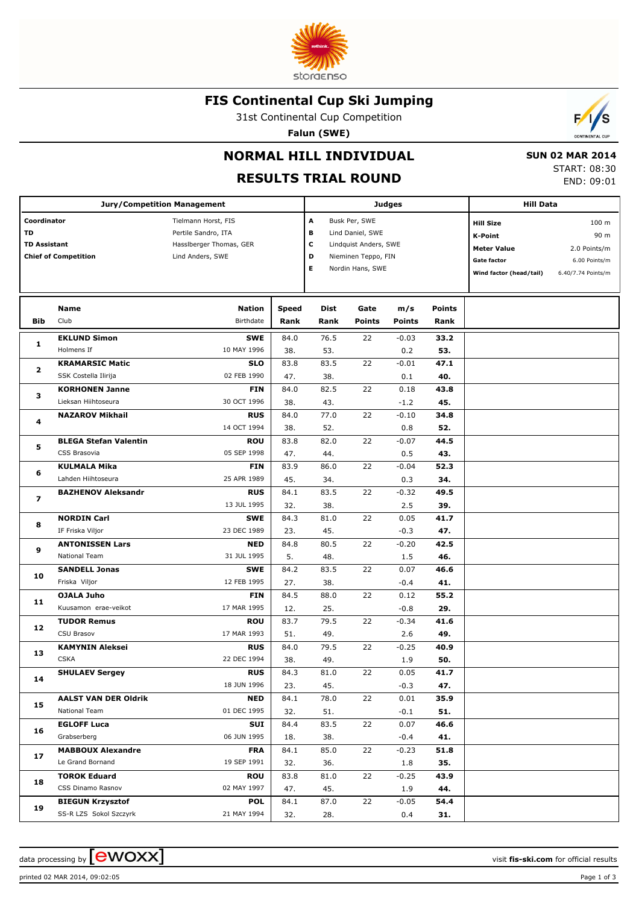

### **FIS Continental Cup Ski Jumping**

31st Continental Cup Competition

**Falun (SWE)**



# **NORMAL HILL INDIVIDUAL**

### **RESULTS TRIAL ROUND**

 **SUN 02 MAR 2014** START: 08:30 END: 09:01

|                                                                         | <b>Jury/Competition Management</b>                |                                                                                           |                      |                                                                                                                                | <b>Judges</b>         | <b>Hill Data</b>     |                       |                                                                                                           |                                                                                 |
|-------------------------------------------------------------------------|---------------------------------------------------|-------------------------------------------------------------------------------------------|----------------------|--------------------------------------------------------------------------------------------------------------------------------|-----------------------|----------------------|-----------------------|-----------------------------------------------------------------------------------------------------------|---------------------------------------------------------------------------------|
| Coordinator<br>TD<br><b>TD Assistant</b><br><b>Chief of Competition</b> |                                                   | Tielmann Horst, FIS<br>Pertile Sandro, ITA<br>Hassiberger Thomas, GER<br>Lind Anders, SWE |                      | А<br>Busk Per, SWE<br>в<br>Lind Daniel, SWE<br>с<br>Lindquist Anders, SWE<br>D<br>Nieminen Teppo, FIN<br>E<br>Nordin Hans, SWE |                       |                      |                       | <b>Hill Size</b><br><b>K-Point</b><br><b>Meter Value</b><br><b>Gate factor</b><br>Wind factor (head/tail) | 100 <sub>m</sub><br>90 m<br>2.0 Points/m<br>6.00 Points/m<br>6.40/7.74 Points/m |
| <b>Bib</b>                                                              | Name<br>Club                                      | <b>Nation</b><br>Birthdate                                                                | <b>Speed</b><br>Rank | Dist<br>Rank                                                                                                                   | Gate<br><b>Points</b> | m/s<br><b>Points</b> | <b>Points</b><br>Rank |                                                                                                           |                                                                                 |
| 1                                                                       | <b>EKLUND Simon</b><br>Holmens If                 | <b>SWE</b><br>10 MAY 1996                                                                 | 84.0<br>38.          | 76.5<br>53.                                                                                                                    | 22                    | $-0.03$<br>0.2       | 33.2<br>53.           |                                                                                                           |                                                                                 |
| 2                                                                       | <b>KRAMARSIC Matic</b><br>SSK Costella Ilirija    | <b>SLO</b><br>02 FEB 1990                                                                 | 83.8<br>47.          | 83.5<br>38.                                                                                                                    | 22                    | $-0.01$<br>0.1       | 47.1<br>40.           |                                                                                                           |                                                                                 |
| з                                                                       | <b>KORHONEN Janne</b><br>Lieksan Hiihtoseura      | <b>FIN</b><br>30 OCT 1996                                                                 | 84.0<br>38.          | 82.5<br>43.                                                                                                                    | 22                    | 0.18<br>$-1.2$       | 43.8<br>45.           |                                                                                                           |                                                                                 |
| 4                                                                       | <b>NAZAROV Mikhail</b>                            | <b>RUS</b><br>14 OCT 1994                                                                 | 84.0<br>38.          | 77.0<br>52.                                                                                                                    | 22                    | $-0.10$<br>0.8       | 34.8<br>52.           |                                                                                                           |                                                                                 |
| 5                                                                       | <b>BLEGA Stefan Valentin</b><br>CSS Brasovia      | <b>ROU</b><br>05 SEP 1998                                                                 | 83.8<br>47.          | 82.0<br>44.                                                                                                                    | 22                    | $-0.07$<br>0.5       | 44.5<br>43.           |                                                                                                           |                                                                                 |
| 6                                                                       | <b>KULMALA Mika</b><br>Lahden Hiihtoseura         | <b>FIN</b><br>25 APR 1989                                                                 | 83.9<br>45.          | 86.0<br>34.                                                                                                                    | 22                    | $-0.04$<br>0.3       | 52.3<br>34.           |                                                                                                           |                                                                                 |
| 7                                                                       | <b>BAZHENOV Aleksandr</b>                         | <b>RUS</b><br>13 JUL 1995                                                                 | 84.1<br>32.          | 83.5<br>38.                                                                                                                    | 22                    | $-0.32$<br>2.5       | 49.5<br>39.           |                                                                                                           |                                                                                 |
| 8                                                                       | <b>NORDIN Carl</b><br>IF Friska Viljor            | <b>SWE</b><br>23 DEC 1989                                                                 | 84.3<br>23.          | 81.0<br>45.                                                                                                                    | 22                    | 0.05<br>$-0.3$       | 41.7<br>47.           |                                                                                                           |                                                                                 |
| 9                                                                       | <b>ANTONISSEN Lars</b><br>National Team           | <b>NED</b><br>31 JUL 1995                                                                 | 84.8<br>5.           | 80.5<br>48.                                                                                                                    | 22                    | $-0.20$<br>1.5       | 42.5<br>46.           |                                                                                                           |                                                                                 |
| 10                                                                      | <b>SANDELL Jonas</b><br>Friska Viljor             | <b>SWE</b><br>12 FEB 1995                                                                 | 84.2<br>27.          | 83.5<br>38.                                                                                                                    | 22                    | 0.07<br>$-0.4$       | 46.6<br>41.           |                                                                                                           |                                                                                 |
| 11                                                                      | <b>OJALA Juho</b><br>Kuusamon erae-veikot         | <b>FIN</b><br>17 MAR 1995                                                                 | 84.5<br>12.          | 88.0<br>25.                                                                                                                    | 22                    | 0.12<br>$-0.8$       | 55.2<br>29.           |                                                                                                           |                                                                                 |
| 12                                                                      | <b>TUDOR Remus</b><br>CSU Brasov                  | <b>ROU</b><br>17 MAR 1993                                                                 | 83.7<br>51.          | 79.5<br>49.                                                                                                                    | 22                    | $-0.34$<br>2.6       | 41.6<br>49.           |                                                                                                           |                                                                                 |
| 13                                                                      | <b>KAMYNIN Aleksei</b><br><b>CSKA</b>             | <b>RUS</b><br>22 DEC 1994                                                                 | 84.0<br>38.          | 79.5<br>49.                                                                                                                    | 22                    | $-0.25$<br>1.9       | 40.9<br>50.           |                                                                                                           |                                                                                 |
| 14                                                                      | <b>SHULAEV Sergey</b>                             | <b>RUS</b><br>18 JUN 1996                                                                 | 84.3<br>23.          | 81.0<br>45.                                                                                                                    | 22                    | 0.05<br>$-0.3$       | 41.7<br>47.           |                                                                                                           |                                                                                 |
| 15                                                                      | <b>AALST VAN DER Oldrik</b><br>National Team      | <b>NED</b><br>01 DEC 1995                                                                 | 84.1<br>32.          | 78.0<br>51.                                                                                                                    | 22                    | 0.01<br>-0.1         | 35.9<br>51.           |                                                                                                           |                                                                                 |
| 16                                                                      | <b>EGLOFF Luca</b><br>Grabserberg                 | SUI<br>06 JUN 1995                                                                        | 84.4<br>18.          | 83.5<br>38.                                                                                                                    | 22                    | 0.07<br>$-0.4$       | 46.6<br>41.           |                                                                                                           |                                                                                 |
| 17                                                                      | <b>MABBOUX Alexandre</b><br>Le Grand Bornand      | <b>FRA</b><br>19 SEP 1991                                                                 | 84.1<br>32.          | 85.0<br>36.                                                                                                                    | 22                    | $-0.23$<br>1.8       | 51.8<br>35.           |                                                                                                           |                                                                                 |
| 18                                                                      | <b>TOROK Eduard</b><br>CSS Dinamo Rasnov          | <b>ROU</b><br>02 MAY 1997                                                                 | 83.8<br>47.          | 81.0<br>45.                                                                                                                    | 22                    | $-0.25$<br>1.9       | 43.9<br>44.           |                                                                                                           |                                                                                 |
| 19                                                                      | <b>BIEGUN Krzysztof</b><br>SS-R LZS Sokol Szczyrk | <b>POL</b><br>21 MAY 1994                                                                 | 84.1<br>32.          | 87.0<br>28.                                                                                                                    | 22                    | $-0.05$<br>0.4       | 54.4<br>31.           |                                                                                                           |                                                                                 |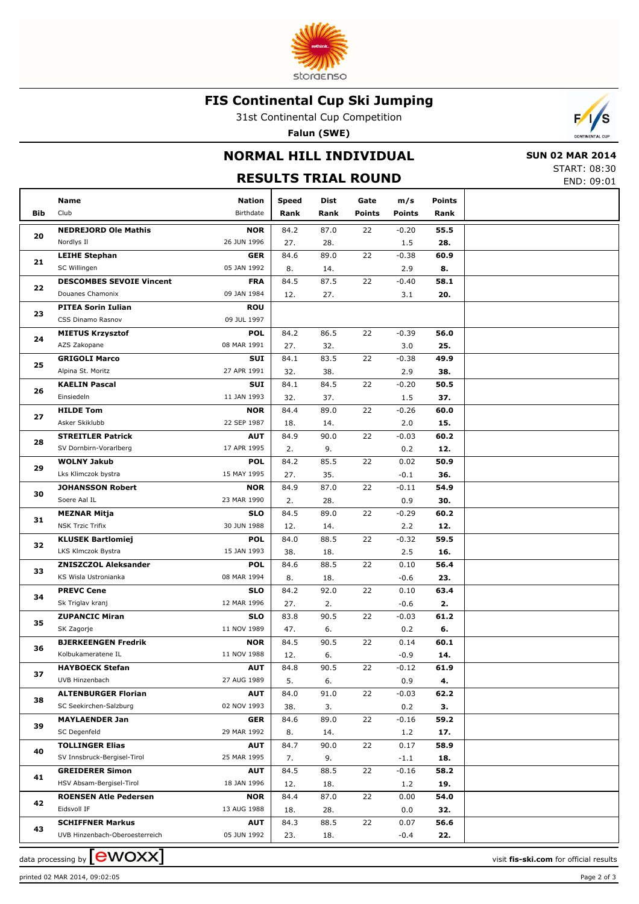

### **FIS Continental Cup Ski Jumping**

31st Continental Cup Competition

**Falun (SWE)**



## **NORMAL HILL INDIVIDUAL**

 **SUN 02 MAR 2014** START: 08:30

|                | <b>RESULTS TRIAL ROUND</b>                           |                           |            |             |               |               |            |  |  |  |
|----------------|------------------------------------------------------|---------------------------|------------|-------------|---------------|---------------|------------|--|--|--|
|                | Name                                                 | <b>Nation</b>             | Speed      | Dist        | Gate          | m/s           | Points     |  |  |  |
| <b>Bib</b>     | Club                                                 | Birthdate                 | Rank       | Rank        | <b>Points</b> | <b>Points</b> | Rank       |  |  |  |
|                | <b>NEDREJORD Ole Mathis</b>                          | <b>NOR</b>                | 84.2       | 87.0        | 22            | $-0.20$       | 55.5       |  |  |  |
| 20             | Nordlys II                                           | 26 JUN 1996               | 27.        | 28.         |               | 1.5           | 28.        |  |  |  |
|                | <b>LEIHE Stephan</b>                                 | <b>GER</b>                | 84.6       | 89.0        | 22            | $-0.38$       | 60.9       |  |  |  |
| 21             | SC Willingen                                         | 05 JAN 1992               | 8.         | 14.         |               | 2.9           | 8.         |  |  |  |
|                | <b>DESCOMBES SEVOIE Vincent</b>                      | <b>FRA</b>                | 84.5       | 87.5        | 22            | $-0.40$       | 58.1       |  |  |  |
| 22             | Douanes Chamonix                                     | 09 JAN 1984               | 12.        | 27.         |               | 3.1           | 20.        |  |  |  |
|                | <b>PITEA Sorin Iulian</b>                            | <b>ROU</b>                |            |             |               |               |            |  |  |  |
| 23             | CSS Dinamo Rasnov                                    | 09 JUL 1997               |            |             |               |               |            |  |  |  |
|                | <b>MIETUS Krzysztof</b>                              | <b>POL</b>                | 84.2       | 86.5        | 22            | $-0.39$       | 56.0       |  |  |  |
| 24             | AZS Zakopane                                         | 08 MAR 1991               | 27.        | 32.         |               | 3.0           | 25.        |  |  |  |
|                | <b>GRIGOLI Marco</b>                                 | SUI                       | 84.1       | 83.5        | 22            | $-0.38$       | 49.9       |  |  |  |
| 25             | Alpina St. Moritz                                    | 27 APR 1991               | 32.        | 38.         |               | 2.9           | 38.        |  |  |  |
| 26             | <b>KAELIN Pascal</b>                                 | SUI                       | 84.1       | 84.5        | 22            | $-0.20$       | 50.5       |  |  |  |
|                | Einsiedeln                                           | 11 JAN 1993               | 32.        | 37.         |               | $1.5\,$       | 37.        |  |  |  |
| 27             | <b>HILDE Tom</b>                                     | <b>NOR</b>                | 84.4       | 89.0        | 22            | $-0.26$       | 60.0       |  |  |  |
|                | Asker Skiklubb                                       | 22 SEP 1987               | 18.        | 14.         |               | 2.0           | 15.        |  |  |  |
| 28             | <b>STREITLER Patrick</b>                             | <b>AUT</b>                | 84.9       | 90.0        | 22            | $-0.03$       | 60.2       |  |  |  |
|                | SV Dornbirn-Vorarlberg                               | 17 APR 1995               | 2.         | 9.          |               | 0.2           | 12.        |  |  |  |
| 29             | <b>WOLNY Jakub</b>                                   | <b>POL</b>                | 84.2       | 85.5        | 22            | 0.02          | 50.9       |  |  |  |
|                | Lks Klimczok bystra                                  | 15 MAY 1995               | 27.        | 35.         |               | $-0.1$        | 36.        |  |  |  |
|                | <b>JOHANSSON Robert</b>                              | <b>NOR</b>                | 84.9       | 87.0        | 22            | $-0.11$       | 54.9       |  |  |  |
| 30<br>31       | Soere Aal IL                                         | 23 MAR 1990               | 2.         | 28.         |               | 0.9           | 30.        |  |  |  |
|                | <b>MEZNAR Mitja</b>                                  | <b>SLO</b>                | 84.5       | 89.0        | 22            | $-0.29$       | 60.2       |  |  |  |
|                | <b>NSK Trzic Trifix</b>                              | 30 JUN 1988               | 12.        | 14.         |               | 2.2           | 12.        |  |  |  |
|                | <b>KLUSEK Bartlomiej</b>                             | POL                       | 84.0       | 88.5        | 22            | $-0.32$       | 59.5       |  |  |  |
|                | LKS Klmczok Bystra                                   | 15 JAN 1993               | 38.        | 18.         |               | 2.5           | 16.        |  |  |  |
| 33             | <b>ZNISZCZOL Aleksander</b>                          | POL                       | 84.6       | 88.5        | 22            | 0.10          | 56.4       |  |  |  |
|                | KS Wisla Ustronianka                                 | 08 MAR 1994               | 8.         | 18.         |               | $-0.6$        | 23.        |  |  |  |
| 34             | <b>PREVC Cene</b>                                    | SLO                       | 84.2       | 92.0        | 22            | 0.10          | 63.4       |  |  |  |
|                | Sk Triglav kranj                                     | 12 MAR 1996               | 27.        | 2.          |               | $-0.6$        | 2.         |  |  |  |
| 35             | <b>ZUPANCIC Miran</b>                                | <b>SLO</b>                | 83.8       | 90.5        | 22            | $-0.03$       | 61.2       |  |  |  |
|                | SK Zagorje                                           | 11 NOV 1989               | 47.        | 6.          |               | 0.2           | 6.         |  |  |  |
| 36             | <b>BJERKEENGEN Fredrik</b>                           | <b>NOR</b>                | 84.5       | 90.5        | 22            | 0.14          | 60.1       |  |  |  |
|                | Kolbukameratene IL                                   | 11 NOV 1988               | 12.        | 6.          |               | $-0.9$        | 14.        |  |  |  |
| 37             | <b>HAYBOECK Stefan</b><br>UVB Hinzenbach             | <b>AUT</b><br>27 AUG 1989 | 84.8       | 90.5        | 22            | $-0.12$       | 61.9       |  |  |  |
|                |                                                      |                           | 5.         | 6.          |               | 0.9           | 4.         |  |  |  |
| 32<br>38<br>39 | <b>ALTENBURGER Florian</b><br>SC Seekirchen-Salzburg | <b>AUT</b><br>02 NOV 1993 | 84.0       | 91.0        | 22            | $-0.03$       | 62.2       |  |  |  |
|                | <b>MAYLAENDER Jan</b>                                |                           | 38.        | 3.          | 22            | 0.2           | 3.<br>59.2 |  |  |  |
|                | SC Degenfeld                                         | <b>GER</b><br>29 MAR 1992 | 84.6<br>8. | 89.0        |               | $-0.16$       | 17.        |  |  |  |
|                | <b>TOLLINGER Elias</b>                               | <b>AUT</b>                | 84.7       | 14.<br>90.0 | 22            | 1.2<br>0.17   | 58.9       |  |  |  |
| 40             | SV Innsbruck-Bergisel-Tirol                          | 25 MAR 1995               | 7.         | 9.          |               | $-1.1$        | 18.        |  |  |  |
|                | <b>GREIDERER Simon</b>                               | <b>AUT</b>                | 84.5       | 88.5        | 22            | $-0.16$       | 58.2       |  |  |  |
| 41             | HSV Absam-Bergisel-Tirol                             | 18 JAN 1996               | 12.        | 18.         |               | 1.2           | 19.        |  |  |  |
|                | <b>ROENSEN Atle Pedersen</b>                         | <b>NOR</b>                | 84.4       | 87.0        | 22            | 0.00          | 54.0       |  |  |  |
| 42             | Eidsvoll IF                                          | 13 AUG 1988               | 18.        | 28.         |               | 0.0           | 32.        |  |  |  |
|                | <b>SCHIFFNER Markus</b>                              | <b>AUT</b>                | 84.3       | 88.5        | 22            | 0.07          | 56.6       |  |  |  |
| 43             | UVB Hinzenbach-Oberoesterreich                       | 05 JUN 1992               | 23.        | 18.         |               | $-0.4$        | 22.        |  |  |  |

printed 02 MAR 2014, 09:02:05 Page 2 of 3